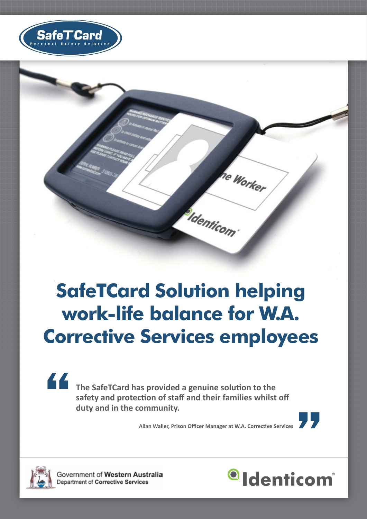



image inserted here is a straightfully and the company of the straight of the straight of the straight of the straight of the straight of the straight of the straight of the straight of the straight of the straight of the

he Worker

denticom

**The SafeTCard has provided a genuine solution to the** <br>
The SafeTCard has provided a genuine solution to the **safety and protection of staff and their families whilst off duty and in the community.** 

**Allan Waller, Prison Officer Manager at W.A. Corrective Services** 





Government of Western Australia Department of Corrective Services